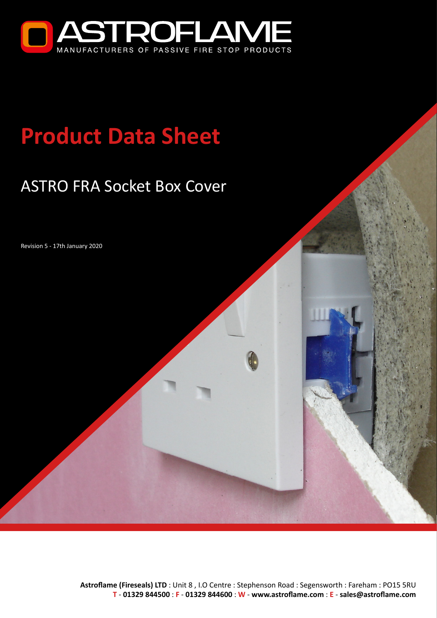

# **Product Data Sheet**

## ASTRO FRA Socket Box Cover

Revision 5 - 17th January 2020

**Astroflame (Fireseals) LTD** : Unit 8 , I.O Centre : Stephenson Road : Segensworth : Fareham : PO15 5RU **T** - **[01329 844500](tel:01329844500)** : **F** - **01329 844600** : **W** - **[www.astroflame.com](http://www.astroflame.com)** : **E** - **[sales@astroflame.com](mailto:sales%40astroflame.com?subject=)**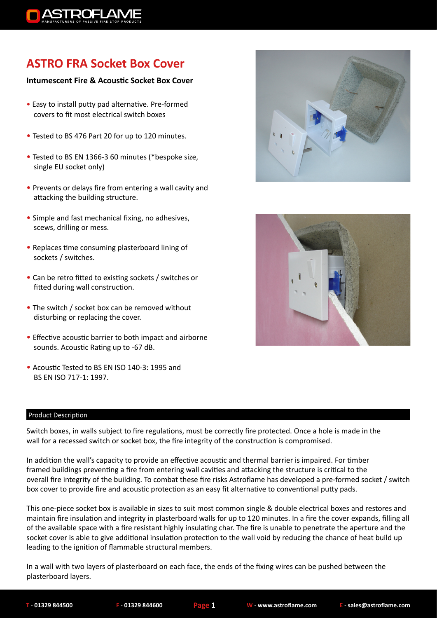

### **ASTRO FRA Socket Box Cover**

#### **Intumescent Fire & Acoustic Socket Box Cover**

- Easy to install putty pad alternative. Pre-formed covers to fit most electrical switch boxes
- Tested to BS 476 Part 20 for up to 120 minutes.
- Tested to BS EN 1366-3 60 minutes (\*bespoke size, single EU socket only)
- Prevents or delays fire from entering a wall cavity and attacking the building structure.
- Simple and fast mechanical fixing, no adhesives, scews, drilling or mess.
- Replaces time consuming plasterboard lining of sockets / switches.
- Can be retro fitted to existing sockets / switches or fitted during wall construction.
- The switch / socket box can be removed without disturbing or replacing the cover.
- Effective acoustic barrier to both impact and airborne sounds. Acoustic Rating up to -67 dB.
- Acoustic Tested to BS EN ISO 140-3: 1995 and BS EN ISO 717-1: 1997.

#### Product Description

Switch boxes, in walls subject to fire regulations, must be correctly fire protected. Once a hole is made in the wall for a recessed switch or socket box, the fire integrity of the construction is compromised.

In addition the wall's capacity to provide an effective acoustic and thermal barrier is impaired. For timber framed buildings preventing a fire from entering wall cavities and attacking the structure is critical to the overall fire integrity of the building. To combat these fire risks Astroflame has developed a pre-formed socket / switch box cover to provide fire and acoustic protection as an easy fit alternative to conventional putty pads.

This one-piece socket box is available in sizes to suit most common single & double electrical boxes and restores and maintain fire insulation and integrity in plasterboard walls for up to 120 minutes. In a fire the cover expands, filling all of the available space with a fire resistant highly insulating char. The fire is unable to penetrate the aperture and the socket cover is able to give additional insulation protection to the wall void by reducing the chance of heat build up leading to the ignition of flammable structural members.

In a wall with two layers of plasterboard on each face, the ends of the fixing wires can be pushed between the plasterboard layers.